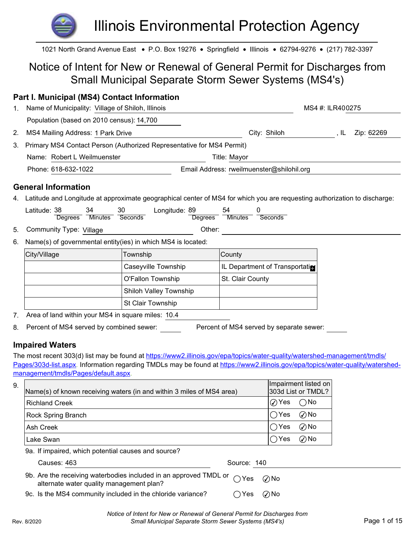# Illinois Environmental Protection Agency

## Notice of Intent for New or Renewal of General Permit for Discharges from Small Municipal Separate Storm Sewer Systems (MS4's)

## Part I. Municipal (MS4) Contact Information

|    |                                                                                                                                                                                               | <b>Illinois Environmental Protection Agency</b>             |                                           |                    |
|----|-----------------------------------------------------------------------------------------------------------------------------------------------------------------------------------------------|-------------------------------------------------------------|-------------------------------------------|--------------------|
|    | 1021 North Grand Avenue East • P.O. Box 19276 • Springfield • Illinois • 62794-9276 • (217) 782-3397                                                                                          |                                                             |                                           |                    |
|    | Notice of Intent for New or Renewal of General Permit for Discharges from                                                                                                                     | <b>Small Municipal Separate Storm Sewer Systems (MS4's)</b> |                                           |                    |
|    | Part I. Municipal (MS4) Contact Information                                                                                                                                                   |                                                             |                                           |                    |
| 1. | Name of Municipality: Village of Shiloh, Illinois                                                                                                                                             |                                                             |                                           | MS4 #: ILR400275   |
|    | Population (based on 2010 census): 14,700                                                                                                                                                     |                                                             |                                           |                    |
| 2. | MS4 Mailing Address: 1 Park Drive                                                                                                                                                             |                                                             | City: Shiloh                              | Zip: 62269<br>, IL |
| 3. | Primary MS4 Contact Person (Authorized Representative for MS4 Permit)                                                                                                                         |                                                             |                                           |                    |
|    | Name: Robert L Weilmuenster                                                                                                                                                                   |                                                             | Title: Mayor                              |                    |
|    | Phone: 618-632-1022                                                                                                                                                                           |                                                             | Email Address: rweilmuenster@shilohil.org |                    |
|    | <b>General Information</b>                                                                                                                                                                    |                                                             |                                           |                    |
|    | 4. Latitude and Longitude at approximate geographical center of MS4 for which you are requesting authorization to discharge:<br>Latitude: 38<br>34<br>30<br>Minutes Seconds<br><b>Degrees</b> | Longitude: 89<br><b>Degrees</b>                             | 54<br><b>Minutes</b><br>Seconds           |                    |
| 5. | Community Type: Village                                                                                                                                                                       | Other:                                                      |                                           |                    |
| 6. | Name(s) of governmental entity(ies) in which MS4 is located:                                                                                                                                  |                                                             |                                           |                    |
|    | City/Village                                                                                                                                                                                  | Township                                                    | County                                    |                    |
|    |                                                                                                                                                                                               | Caseyville Township                                         | IL Department of Transportation           |                    |
|    |                                                                                                                                                                                               | <b>O'Fallon Township</b>                                    | St. Clair County                          |                    |
|    |                                                                                                                                                                                               |                                                             |                                           |                    |

## General Information

| .<br>atitude<br>აბ | .34   | $\sim$<br>Jι | 89<br>angitude. | 54      |         |
|--------------------|-------|--------------|-----------------|---------|---------|
| Jearees            | .vlir | nas          | Dearees         | Minutes | seconds |
|                    |       |              |                 |         |         |

- 5. Community Type: Village **Community Type:** Village
- 

| City/Village | Township                 | <b>County</b>                  |
|--------------|--------------------------|--------------------------------|
|              | Caseyville Township      | IL Department of Transportatin |
|              | O'Fallon Township        | St. Clair County               |
|              | Shiloh Valley Township   |                                |
|              | <b>St Clair Township</b> |                                |

## Impaired Waters

|    |                                                             | <b>O'Fallon Township</b>                                                                                                          | St. Clair County                         |                |                      |              |
|----|-------------------------------------------------------------|-----------------------------------------------------------------------------------------------------------------------------------|------------------------------------------|----------------|----------------------|--------------|
|    |                                                             | Shiloh Valley Township                                                                                                            |                                          |                |                      |              |
|    |                                                             | St Clair Township                                                                                                                 |                                          |                |                      |              |
|    | 7. Area of land within your MS4 in square miles: 10.4       |                                                                                                                                   |                                          |                |                      |              |
|    | 8. Percent of MS4 served by combined sewer:                 |                                                                                                                                   | Percent of MS4 served by separate sewer: |                |                      |              |
|    | <b>Impaired Waters</b>                                      |                                                                                                                                   |                                          |                |                      |              |
|    |                                                             |                                                                                                                                   |                                          |                |                      |              |
|    |                                                             | The most recent 303(d) list may be found at https://www2.illinois.gov/epa/topics/water-quality/watershed-management/tmdls/        |                                          |                |                      |              |
|    | management/tmdls/Pages/default.aspx.                        | Pages/303d-list.aspx. Information regarding TMDLs may be found at https://www2.illinois.gov/epa/topics/water-quality/watershed-   |                                          |                |                      |              |
|    |                                                             |                                                                                                                                   |                                          |                | Impairment listed on |              |
| 9. |                                                             | Name(s) of known receiving waters (in and within 3 miles of MS4 area)                                                             |                                          |                | 303d List or TMDL?   |              |
|    | <b>Richland Creek</b>                                       |                                                                                                                                   |                                          | $\oslash$ Yes  | $\bigcap$ No         |              |
|    | Rock Spring Branch                                          |                                                                                                                                   |                                          | $\bigcirc$ Yes | $\oslash$ No         |              |
|    | Ash Creek                                                   |                                                                                                                                   |                                          | $\bigcirc$ Yes | $\oslash$ No         |              |
|    | Lake Swan                                                   |                                                                                                                                   |                                          | $\bigcirc$ Yes | $\oslash$ No         |              |
|    | 9a. If impaired, which potential causes and source?         |                                                                                                                                   |                                          |                |                      |              |
|    | Causes: 463                                                 |                                                                                                                                   | Source: 140                              |                |                      |              |
|    | alternate water quality management plan?                    | 9b. Are the receiving waterbodies included in an approved TMDL or                                                                 | $\bigcap$ Yes                            | $\oslash$ No   |                      |              |
|    | 9c. Is the MS4 community included in the chloride variance? |                                                                                                                                   | ∩Yes                                     | $\oslash$ No   |                      |              |
|    | Rev. 8/2020                                                 | Notice of Intent for New or Renewal of General Permit for Discharges from<br>Small Municipal Separate Storm Sewer Systems (MS4's) |                                          |                |                      | Page 1 of 15 |

| Causes: 463 | 140<br>Source: |
|-------------|----------------|
|-------------|----------------|

- 9b. Are the receiving waterbodies included in an approved TMDL or  $\bigcirc$  Yes  $\bigcirc$  No alternate water quality management plan?
- 

Rev. 8/2020 Small Municipal Separate Storm Sewer Systems (MS4's) Page 1 of 15 Notice of Intent for New or Renewal of General Permit for Discharges from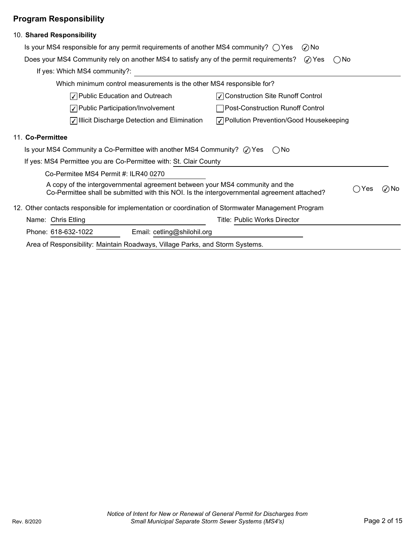## Program Responsibility

| 10. Shared Responsibility                                                                                                                                                                          |
|----------------------------------------------------------------------------------------------------------------------------------------------------------------------------------------------------|
| Is your MS4 responsible for any permit requirements of another MS4 community? $\bigcirc$ Yes<br>$\oslash$ No                                                                                       |
| Does your MS4 Community rely on another MS4 to satisfy any of the permit requirements?<br>⊘ Yes<br>( )No                                                                                           |
| If yes: Which MS4 community?:                                                                                                                                                                      |
| Which minimum control measurements is the other MS4 responsible for?                                                                                                                               |
| √ Public Education and Outreach<br>√ Construction Site Runoff Control                                                                                                                              |
| √ Public Participation/Involvement<br>Post-Construction Runoff Control                                                                                                                             |
| √ Illicit Discharge Detection and Elimination<br>√ Pollution Prevention/Good Housekeeping                                                                                                          |
| 11. Co-Permittee                                                                                                                                                                                   |
| Is your MS4 Community a Co-Permittee with another MS4 Community? $\oslash$ Yes<br>( )No                                                                                                            |
| If yes: MS4 Permittee you are Co-Permittee with: St. Clair County                                                                                                                                  |
| Co-Permitee MS4 Permit #: ILR40 0270                                                                                                                                                               |
| A copy of the intergovernmental agreement between your MS4 community and the<br>$\oslash$ No<br>Yes<br>Co-Permittee shall be submitted with this NOI. Is the intergovernmental agreement attached? |
| 12. Other contacts responsible for implementation or coordination of Stormwater Management Program                                                                                                 |
| Name: Chris Etling<br><b>Title: Public Works Director</b>                                                                                                                                          |
| Phone: 618-632-1022<br>Email: cetling@shilohil.org                                                                                                                                                 |
| Area of Responsibility: Maintain Roadways, Village Parks, and Storm Systems.                                                                                                                       |
|                                                                                                                                                                                                    |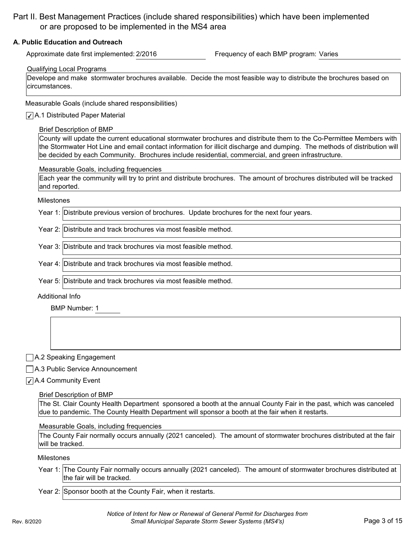## Part II. Best Management Practices (include shared responsibilities) which have been implemented or are proposed to be implemented in the MS4 area

#### A. Public Education and Outreach

Approximate date first implemented: 2/2016 **Frequency of each BMP program: Varies** 

#### Qualifying Local Programs

Develope and make stormwater brochures available. Decide the most feasible way to distribute the brochures based on circumstances.

Measurable Goals (include shared responsibilities)

#### $\sqrt{\phantom{a}}$  A.1 Distributed Paper Material

#### Brief Description of BMP

County will update the current educational stormwater brochures and distribute them to the Co-Permittee Members with the Stormwater Hot Line and email contact information for illicit discharge and dumping. The methods of distribution will be decided by each Community. Brochures include residential, commercial, and green infrastructure.

Measurable Goals, including frequencies

Each year the community will try to print and distribute brochures. The amount of brochures distributed will be tracked and reported.

#### Milestones

Year 1: Distribute previous version of brochures. Update brochures for the next four years.

Year 2: Distribute and track brochures via most feasible method.

Year 3: Distribute and track brochures via most feasible method.

Year 4: Distribute and track brochures via most feasible method.

Year 5: Distribute and track brochures via most feasible method.

#### Additional Info

BMP Number: 1

A.2 Speaking Engagement

A.3 Public Service Announcement

#### $\sqrt{\phantom{a}}$  A.4 Community Event

#### Brief Description of BMP

The St. Clair County Health Department sponsored a booth at the annual County Fair in the past, which was canceled due to pandemic. The County Health Department will sponsor a booth at the fair when it restarts.

#### Measurable Goals, including frequencies

The County Fair normally occurs annually (2021 canceled). The amount of stormwater brochures distributed at the fair will be tracked.

Milestones

- Year 1: The County Fair normally occurs annually (2021 canceled). The amount of stormwater brochures distributed at the fair will be tracked.
- Year 2: Sponsor booth at the County Fair, when it restarts.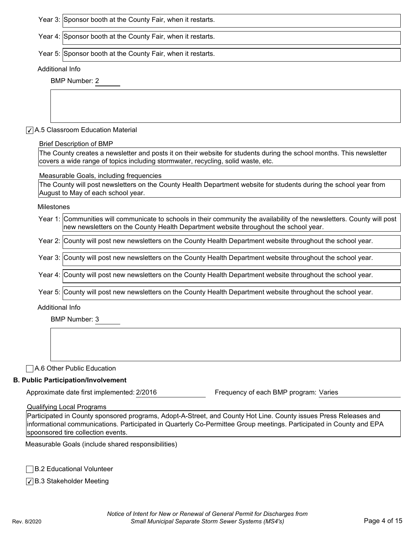Year 3: Sponsor booth at the County Fair, when it restarts.

Year 4: Sponsor booth at the County Fair, when it restarts.

Year 5: Sponsor booth at the County Fair, when it restarts.

#### Additional Info

BMP Number: 2

#### $\sqrt{\phantom{a}}$  A.5 Classroom Education Material

#### Brief Description of BMP

The County creates a newsletter and posts it on their website for students during the school months. This newsletter covers a wide range of topics including stormwater, recycling, solid waste, etc.

#### Measurable Goals, including frequencies

The County will post newsletters on the County Health Department website for students during the school year from August to May of each school year.

Milestones

| Year 1: Communities will communicate to schools in their community the availability of the newsletters. County will post |  |
|--------------------------------------------------------------------------------------------------------------------------|--|
| Inew newsletters on the County Health Department website throughout the school year.                                     |  |

Year 2: County will post new newsletters on the County Health Department website throughout the school year.

Year 3: County will post new newsletters on the County Health Department website throughout the school year.

Year 4: County will post new newsletters on the County Health Department website throughout the school year.

Year 5: County will post new newsletters on the County Health Department website throughout the school year.

#### Additional Info

BMP Number: 3

A.6 Other Public Education

#### B. Public Participation/Involvement

Approximate date first implemented: 2/2016 **Frequency of each BMP program: Varies** 

Qualifying Local Programs

Participated in County sponsored programs, Adopt-A-Street, and County Hot Line. County issues Press Releases and informational communications. Participated in Quarterly Co-Permittee Group meetings. Participated in County and EPA spoonsored tire collection events.

Measurable Goals (include shared responsibilities)

**□B.2 Educational Volunteer** 

 $\sqrt{\phantom{a}}$ B.3 Stakeholder Meeting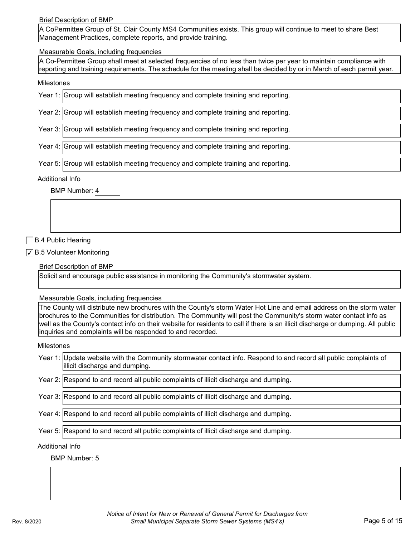Brief Description of BMP

A CoPermittee Group of St. Clair County MS4 Communities exists. This group will continue to meet to share Best Management Practices, complete reports, and provide training.

#### Measurable Goals, including frequencies

A Co-Permittee Group shall meet at selected frequencies of no less than twice per year to maintain compliance with reporting and training requirements. The schedule for the meeting shall be decided by or in March of each permit year.

#### Milestones

| Year 1: Group will establish meeting frequency and complete training and reporting. |
|-------------------------------------------------------------------------------------|
| Year 2: Group will establish meeting frequency and complete training and reporting. |
| Year 3: Group will establish meeting frequency and complete training and reporting. |
| Year 4: Group will establish meeting frequency and complete training and reporting. |
| Year 5: Group will establish meeting frequency and complete training and reporting. |

#### Additional Info

BMP Number: 4

#### B.4 Public Hearing

 $\sqrt{\phantom{a}}$  B.5 Volunteer Monitoring

Brief Description of BMP

Solicit and encourage public assistance in monitoring the Community's stormwater system.

Measurable Goals, including frequencies

The County will distribute new brochures with the County's storm Water Hot Line and email address on the storm water brochures to the Communities for distribution. The Community will post the Community's storm water contact info as well as the County's contact info on their website for residents to call if there is an illicit discharge or dumping. All public inquiries and complaints will be responded to and recorded.

#### Milestones

- Year 1: Update website with the Community stormwater contact info. Respond to and record all public complaints of illicit discharge and dumping.
- Year 2: Respond to and record all public complaints of illicit discharge and dumping.
- Year 3: Respond to and record all public complaints of illicit discharge and dumping.

Year 4: Respond to and record all public complaints of illicit discharge and dumping.

Year 5: Respond to and record all public complaints of illicit discharge and dumping.

#### Additional Info

BMP Number: 5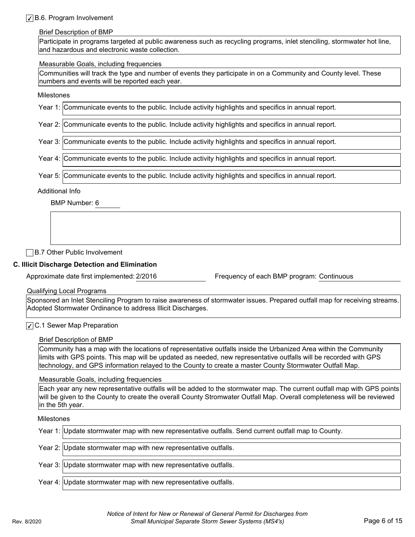#### B.6. Program Involvement

#### Brief Description of BMP

Participate in programs targeted at public awareness such as recycling programs, inlet stenciling, stormwater hot line, and hazardous and electronic waste collection.

#### Measurable Goals, including frequencies

Communities will track the type and number of events they participate in on a Community and County level. These numbers and events will be reported each year.

#### Milestones

|                 | Year 1: Communicate events to the public. Include activity highlights and specifics in annual report. |
|-----------------|-------------------------------------------------------------------------------------------------------|
|                 | Year 2: Communicate events to the public. Include activity highlights and specifics in annual report. |
|                 | Year 3: Communicate events to the public. Include activity highlights and specifics in annual report. |
|                 | Year 4: Communicate events to the public. Include activity highlights and specifics in annual report. |
|                 | Year 5: Communicate events to the public. Include activity highlights and specifics in annual report. |
| Additional Info |                                                                                                       |
|                 | BMP Number: 6                                                                                         |

**B.7 Other Public Involvement** 

#### C. Illicit Discharge Detection and Elimination

Approximate date first implemented: 2/2016 Frequency of each BMP program: Continuous

Qualifying Local Programs

Sponsored an Inlet Stenciling Program to raise awareness of stormwater issues. Prepared outfall map for receiving streams. Adopted Stormwater Ordinance to address Illicit Discharges.

#### $\sqrt{\phantom{a}}$ C.1 Sewer Map Preparation

#### Brief Description of BMP

Community has a map with the locations of representative outfalls inside the Urbanized Area within the Community limits with GPS points. This map will be updated as needed, new representative outfalls will be recorded with GPS technology, and GPS information relayed to the County to create a master County Stormwater Outfall Map.

#### Measurable Goals, including frequencies

Each year any new representative outfalls will be added to the stormwater map. The current outfall map with GPS points will be given to the County to create the overall County Stromwater Outfall Map. Overall completeness will be reviewed in the 5th year.

#### Milestones

| Year 1: Update stormwater map with new representative outfalls. Send current outfall map to County. |
|-----------------------------------------------------------------------------------------------------|
| Year 2: Update stormwater map with new representative outfalls.                                     |
| Year 3: Update stormwater map with new representative outfalls.                                     |
| Year 4: Update stormwater map with new representative outfalls.                                     |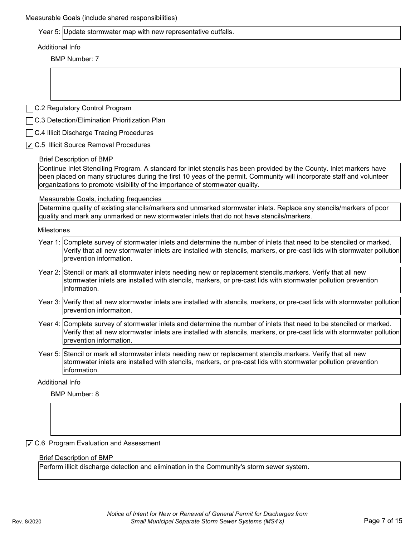|                 | Year 5: Update stormwater map with new representative outfalls.                                                                                                                                                                                                                                                               |
|-----------------|-------------------------------------------------------------------------------------------------------------------------------------------------------------------------------------------------------------------------------------------------------------------------------------------------------------------------------|
| Additional Info |                                                                                                                                                                                                                                                                                                                               |
|                 | <b>BMP Number: 7</b>                                                                                                                                                                                                                                                                                                          |
|                 |                                                                                                                                                                                                                                                                                                                               |
|                 |                                                                                                                                                                                                                                                                                                                               |
|                 |                                                                                                                                                                                                                                                                                                                               |
|                 | □ C.2 Regulatory Control Program                                                                                                                                                                                                                                                                                              |
|                 | □ C.3 Detection/Elimination Prioritization Plan                                                                                                                                                                                                                                                                               |
|                 | C.4 Illicit Discharge Tracing Procedures                                                                                                                                                                                                                                                                                      |
|                 | √ C.5 Illicit Source Removal Procedures                                                                                                                                                                                                                                                                                       |
|                 | <b>Brief Description of BMP</b>                                                                                                                                                                                                                                                                                               |
|                 | Continue Inlet Stenciling Program. A standard for inlet stencils has been provided by the County. Inlet markers have<br>been placed on many structures during the first 10 yeas of the permit. Community will incorporate staff and volunteer<br>organizations to promote visibility of the importance of stormwater quality. |
|                 | Measurable Goals, including frequencies                                                                                                                                                                                                                                                                                       |
|                 | Determine quality of existing stencils/markers and unmarked stormwater inlets. Replace any stencils/markers of poor<br>quality and mark any unmarked or new stormwater inlets that do not have stencils/markers.                                                                                                              |
| Milestones      |                                                                                                                                                                                                                                                                                                                               |
|                 | Year 1: Complete survey of stormwater inlets and determine the number of inlets that need to be stenciled or marked.<br>Verify that all new stormwater inlets are installed with stencils, markers, or pre-cast lids with stormwater pollution<br>prevention information.                                                     |
|                 | Year 2: Stencil or mark all stormwater inlets needing new or replacement stencils.markers. Verify that all new<br>stormwater inlets are installed with stencils, markers, or pre-cast lids with stormwater pollution prevention<br>information.                                                                               |
|                 | Year 3: Verify that all new stormwater inlets are installed with stencils, markers, or pre-cast lids with stormwater pollution<br>prevention informaiton.                                                                                                                                                                     |
|                 | Year 4: Complete survey of stormwater inlets and determine the number of inlets that need to be stenciled or marked.<br>Verify that all new stormwater inlets are installed with stencils, markers, or pre-cast lids with stormwater pollution<br>prevention information.                                                     |
|                 | Year 5: Stencil or mark all stormwater inlets needing new or replacement stencils markers. Verify that all new<br>stormwater inlets are installed with stencils, markers, or pre-cast lids with stormwater pollution prevention<br>information.                                                                               |
|                 | Additional Info                                                                                                                                                                                                                                                                                                               |
|                 |                                                                                                                                                                                                                                                                                                                               |

◯ C.6 Program Evaluation and Assessment

#### Brief Description of BMP

Perform illicit discharge detection and elimination in the Community's storm sewer system.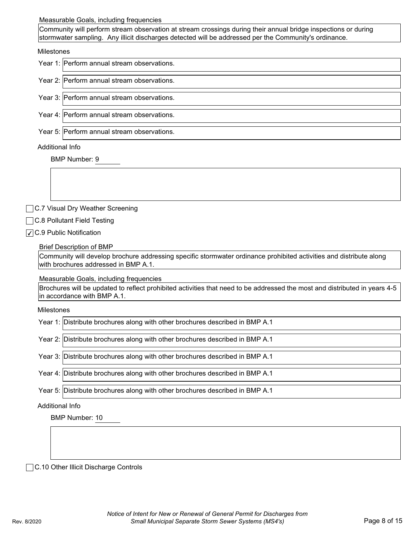#### Measurable Goals, including frequencies

Community will perform stream observation at stream crossings during their annual bridge inspections or during stormwater sampling. Any illicit discharges detected will be addressed per the Community's ordinance.

#### Milestones

| Year 1: Perform annual stream observations. |
|---------------------------------------------|
| Year 2: Perform annual stream observations. |
| Year 3: Perform annual stream observations. |
| Year 4: Perform annual stream observations. |
| Year 5: Perform annual stream observations. |
| Additional Info                             |
| <b>BMP Number: 9</b>                        |
|                                             |

□C.7 Visual Dry Weather Screening

□C.8 Pollutant Field Testing

 $\sqrt{C}$ .9 Public Notification

#### Brief Description of BMP

Community will develop brochure addressing specific stormwater ordinance prohibited activities and distribute along with brochures addressed in BMP A.1.

Measurable Goals, including frequencies

Brochures will be updated to reflect prohibited activities that need to be addressed the most and distributed in years 4-5 in accordance with BMP A.1.

#### Milestones

|  | Year 1: Distribute brochures along with other brochures described in BMP A.1 |  |
|--|------------------------------------------------------------------------------|--|
|--|------------------------------------------------------------------------------|--|

Year 2: Distribute brochures along with other brochures described in BMP A.1

- Year 3: Distribute brochures along with other brochures described in BMP A.1
- Year 4: Distribute brochures along with other brochures described in BMP A.1

Year 5: Distribute brochures along with other brochures described in BMP A.1

Additional Info

BMP Number: 10

□C.10 Other Illicit Discharge Controls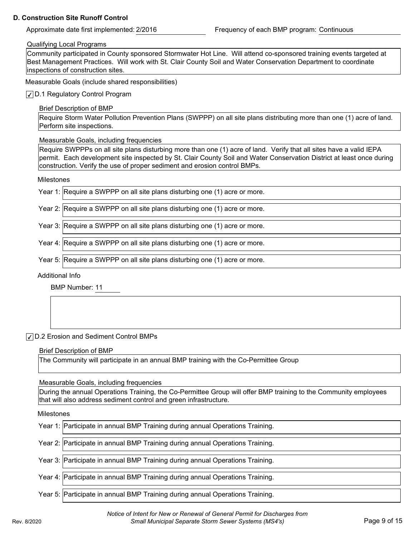#### D. Construction Site Runoff Control

#### Qualifying Local Programs

Community participated in County sponsored Stormwater Hot Line. Will attend co-sponsored training events targeted at Best Management Practices. Will work with St. Clair County Soil and Water Conservation Department to coordinate inspections of construction sites.

Measurable Goals (include shared responsibilities)

D.1 Regulatory Control Program

Brief Description of BMP

Require Storm Water Pollution Prevention Plans (SWPPP) on all site plans distributing more than one (1) acre of land. Perform site inspections.

Measurable Goals, including frequencies

Require SWPPPs on all site plans disturbing more than one (1) acre of land. Verify that all sites have a valid IEPA permit. Each development site inspected by St. Clair County Soil and Water Conservation District at least once during construction. Verify the use of proper sediment and erosion control BMPs.

#### Milestones

|  | Year 1: Require a SWPPP on all site plans disturbing one (1) acre or more. |
|--|----------------------------------------------------------------------------|
|--|----------------------------------------------------------------------------|

Year 2: Require a SWPPP on all site plans disturbing one (1) acre or more.

Year 3: Require a SWPPP on all site plans disturbing one (1) acre or more.

Year 4: Require a SWPPP on all site plans disturbing one (1) acre or more.

Year 5: Require a SWPPP on all site plans disturbing one (1) acre or more.

Additional Info

BMP Number: 11

#### D.2 Erosion and Sediment Control BMPs

Brief Description of BMP

The Community will participate in an annual BMP training with the Co-Permittee Group

Measurable Goals, including frequencies

During the annual Operations Training, the Co-Permittee Group will offer BMP training to the Community employees that will also address sediment control and green infrastructure.

Milestones

Year 2: Participate in annual BMP Training during annual Operations Training.

Year 3: Participate in annual BMP Training during annual Operations Training.

Year 4: Participate in annual BMP Training during annual Operations Training.

Year 5: Participate in annual BMP Training during annual Operations Training.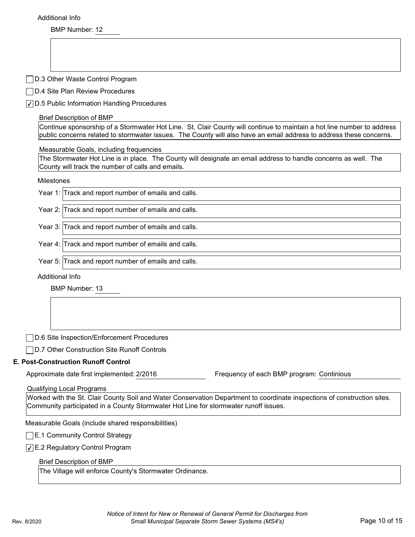BMP Number: 12

|                 | D.3 Other Waste Control Program                                                                                                                                                                                                                      |
|-----------------|------------------------------------------------------------------------------------------------------------------------------------------------------------------------------------------------------------------------------------------------------|
|                 | D.4 Site Plan Review Procedures                                                                                                                                                                                                                      |
|                 | √ D.5 Public Information Handling Procedures                                                                                                                                                                                                         |
|                 | <b>Brief Description of BMP</b>                                                                                                                                                                                                                      |
|                 | Continue sponsorship of a Stormwater Hot Line. St. Clair County will continue to maintain a hot line number to address<br>public concerns related to stormwater issues. The County will also have an email address to address these concerns.        |
|                 | Measurable Goals, including frequencies                                                                                                                                                                                                              |
|                 | The Stormwater Hot Line is in place. The County will designate an email address to handle concerns as well. The<br>County will track the number of calls and emails.                                                                                 |
| Milestones      |                                                                                                                                                                                                                                                      |
|                 | Year 1: Track and report number of emails and calls.                                                                                                                                                                                                 |
|                 | Year 2: Track and report number of emails and calls.                                                                                                                                                                                                 |
|                 | Year 3: Track and report number of emails and calls.                                                                                                                                                                                                 |
|                 | Year 4: Track and report number of emails and calls.                                                                                                                                                                                                 |
|                 | Year 5: Track and report number of emails and calls.                                                                                                                                                                                                 |
| Additional Info |                                                                                                                                                                                                                                                      |
|                 | <b>BMP Number: 13</b>                                                                                                                                                                                                                                |
|                 |                                                                                                                                                                                                                                                      |
|                 | D.6 Site Inspection/Enforcement Procedures<br>D.7 Other Construction Site Runoff Controls                                                                                                                                                            |
|                 | <b>E. Post-Construction Runoff Control</b>                                                                                                                                                                                                           |
|                 | Frequency of each BMP program: Continious<br>Approximate date first implemented: 2/2016                                                                                                                                                              |
|                 | <b>Qualifying Local Programs</b><br>Worked with the St. Clair County Soil and Water Conservation Department to coordinate inspections of construction sites.<br>Community participated in a County Stormwater Hot Line for stormwater runoff issues. |
|                 | Measurable Goals (include shared responsibilities)                                                                                                                                                                                                   |
|                 | $\Box$ E.1 Community Control Strategy                                                                                                                                                                                                                |

The Village will enforce County's Stormwater Ordinance.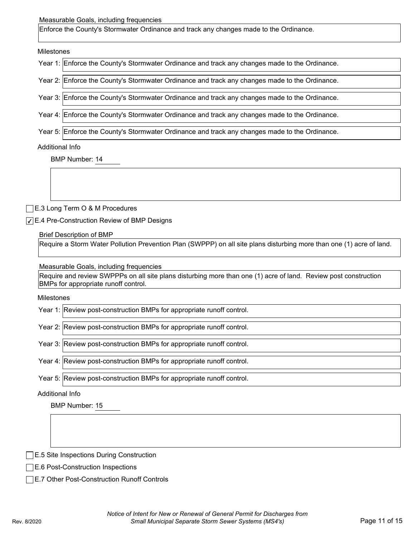#### Measurable Goals, including frequencies

Enforce the County's Stormwater Ordinance and track any changes made to the Ordinance.

Milestones

| Year 1: Enforce the County's Stormwater Ordinance and track any changes made to the Ordinance. |
|------------------------------------------------------------------------------------------------|
|                                                                                                |
| Year 2: Enforce the County's Stormwater Ordinance and track any changes made to the Ordinance. |
|                                                                                                |
| Year 3: Enforce the County's Stormwater Ordinance and track any changes made to the Ordinance. |
|                                                                                                |
| Year 4: Enforce the County's Stormwater Ordinance and track any changes made to the Ordinance. |
|                                                                                                |
| Year 5: Enforce the County's Stormwater Ordinance and track any changes made to the Ordinance. |

#### Additional Info

BMP Number: 14

E.3 Long Term O & M Procedures

E.4 Pre-Construction Review of BMP Designs

#### Brief Description of BMP

Require a Storm Water Pollution Prevention Plan (SWPPP) on all site plans disturbing more than one (1) acre of land.

Measurable Goals, including frequencies

Require and review SWPPPs on all site plans disturbing more than one (1) acre of land. Review post construction BMPs for appropriate runoff control.

#### Milestones

Year 1: Review post-construction BMPs for appropriate runoff control.

Year 2: Review post-construction BMPs for appropriate runoff control.

Year 3: Review post-construction BMPs for appropriate runoff control.

Year 4: Review post-construction BMPs for appropriate runoff control.

Year 5: Review post-construction BMPs for appropriate runoff control.

#### Additional Info

BMP Number: 15

**E.5 Site Inspections During Construction** 

- E.6 Post-Construction Inspections
- **E.7 Other Post-Construction Runoff Controls**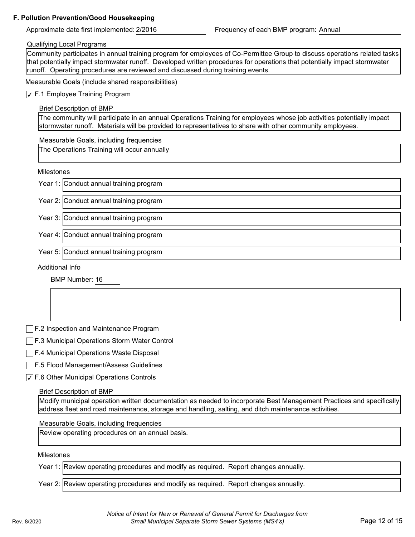#### F. Pollution Prevention/Good Housekeeping

Approximate date first implemented: 2/2016 **Frequency of each BMP program:** Annual

#### Qualifying Local Programs

Community participates in annual training program for employees of Co-Permittee Group to discuss operations related tasks that potentially impact stormwater runoff. Developed written procedures for operations that potentially impact stormwater runoff. Operating procedures are reviewed and discussed during training events.

Measurable Goals (include shared responsibilities)

#### $\sqrt{\phantom{a}}$  F.1 Employee Training Program

#### Brief Description of BMP

The community will participate in an annual Operations Training for employees whose job activities potentially impact stormwater runoff. Materials will be provided to representatives to share with other community employees.

#### Measurable Goals, including frequencies

The Operations Training will occur annually

#### Milestones

Year 1: Conduct annual training program

Year 2: Conduct annual training program

Year 3: Conduct annual training program

Year 4: Conduct annual training program

Year 5: Conduct annual training program

Additional Info

BMP Number: 16

F.2 Inspection and Maintenance Program

**F.3 Municipal Operations Storm Water Control** 

F.4 Municipal Operations Waste Disposal

F.5 Flood Management/Assess Guidelines

 $\sqrt{$  F.6 Other Municipal Operations Controls

#### Brief Description of BMP

Modify municipal operation written documentation as needed to incorporate Best Management Practices and specifically address fleet and road maintenance, storage and handling, salting, and ditch maintenance activities.

#### Measurable Goals, including frequencies

Review operating procedures on an annual basis.

#### Milestones

Year 1: Review operating procedures and modify as required. Report changes annually.

Year 2: Review operating procedures and modify as required. Report changes annually.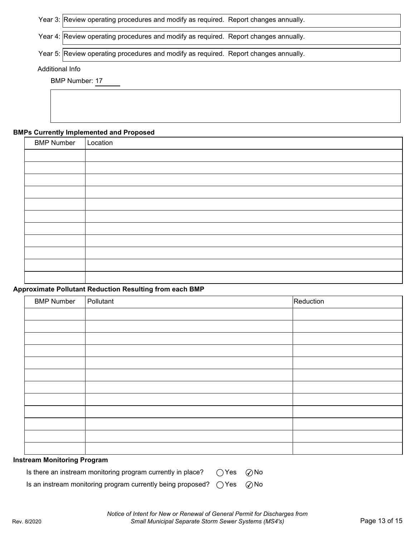Year 3: Review operating procedures and modify as required. Report changes annually.

Year 4: Review operating procedures and modify as required. Report changes annually.

Year 5: Review operating procedures and modify as required. Report changes annually.

#### Additional Info

BMP Number: 17

#### BMPs Currently Implemented and Proposed

| <b>BMP Number</b> | Location |
|-------------------|----------|
|                   |          |
|                   |          |
|                   |          |
|                   |          |
|                   |          |
|                   |          |
|                   |          |
|                   |          |
|                   |          |
|                   |          |
|                   |          |

#### Approximate Pollutant Reduction Resulting from each BMP

| <b>BMP Number</b> | Pollutant | Reduction |
|-------------------|-----------|-----------|
|                   |           |           |
|                   |           |           |
|                   |           |           |
|                   |           |           |
|                   |           |           |
|                   |           |           |
|                   |           |           |
|                   |           |           |
|                   |           |           |
|                   |           |           |
|                   |           |           |
|                   |           |           |

#### Instream Monitoring Program

| Is there an instream monitoring program currently in place? $\quad\bigcirc$ Yes $\quad$ $\oslash$ No $\quad$ |  |  |
|--------------------------------------------------------------------------------------------------------------|--|--|
|--------------------------------------------------------------------------------------------------------------|--|--|

Is an instream monitoring program currently being proposed?  $\bigcirc$  Yes  $\bigcirc$  No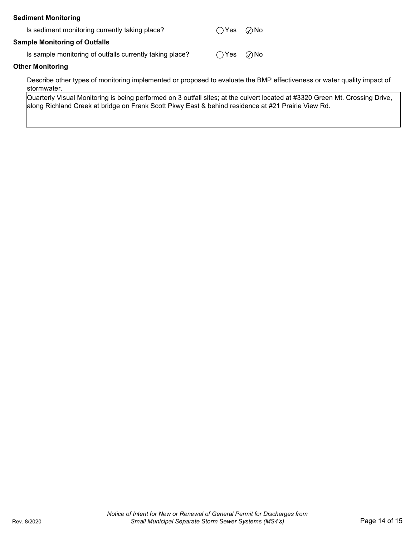| <b>Sediment Monitoring</b>                               |                             |  |
|----------------------------------------------------------|-----------------------------|--|
| Is sediment monitoring currently taking place?           | $\bigcap$ Yes $\bigcirc$ No |  |
| <b>Sample Monitoring of Outfalls</b>                     |                             |  |
| Is sample monitoring of outfalls currently taking place? | $\bigcap$ Yes $\bigcirc$ No |  |
| <b>Other Monitoring</b>                                  |                             |  |
|                                                          |                             |  |

Describe other types of monitoring implemented or proposed to evaluate the BMP effectiveness or water quality impact of stormwater.

Quarterly Visual Monitoring is being performed on 3 outfall sites; at the culvert located at #3320 Green Mt. Crossing Drive, along Richland Creek at bridge on Frank Scott Pkwy East & behind residence at #21 Prairie View Rd.